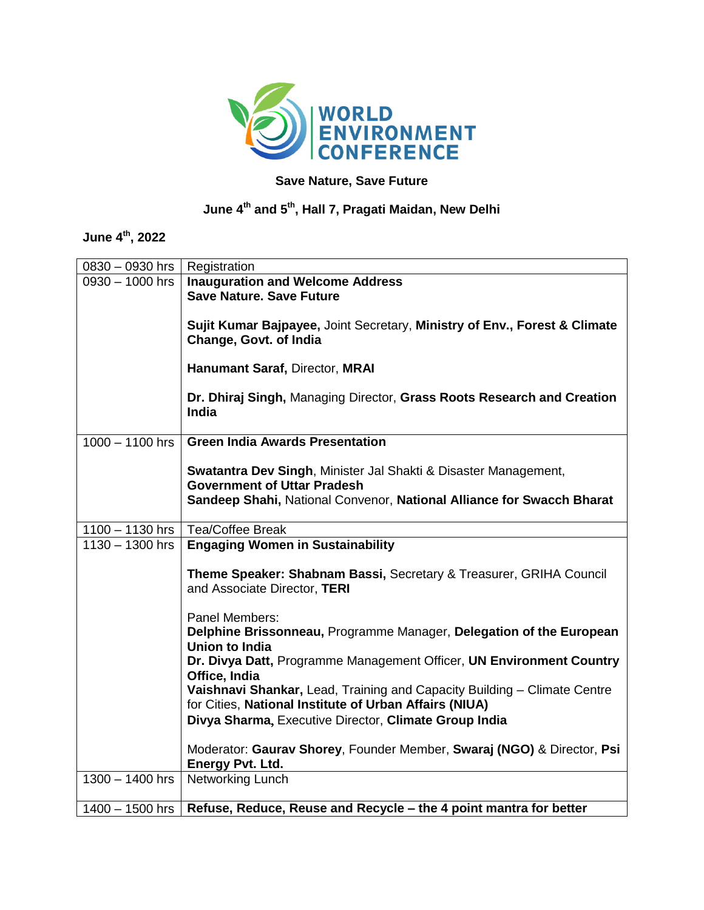

## **Save Nature, Save Future**

## **June 4 th and 5 th , Hall 7, Pragati Maidan, New Delhi**

## **June 4 th, 2022**

| $0830 - 0930$ hrs | Registration                                                                                                                                                                   |
|-------------------|--------------------------------------------------------------------------------------------------------------------------------------------------------------------------------|
| $0930 - 1000$ hrs | <b>Inauguration and Welcome Address</b><br><b>Save Nature, Save Future</b>                                                                                                     |
|                   | Sujit Kumar Bajpayee, Joint Secretary, Ministry of Env., Forest & Climate<br>Change, Govt. of India                                                                            |
|                   | Hanumant Saraf, Director, MRAI                                                                                                                                                 |
|                   | Dr. Dhiraj Singh, Managing Director, Grass Roots Research and Creation<br><b>India</b>                                                                                         |
| $1000 - 1100$ hrs | <b>Green India Awards Presentation</b>                                                                                                                                         |
|                   | Swatantra Dev Singh, Minister Jal Shakti & Disaster Management,<br><b>Government of Uttar Pradesh</b><br>Sandeep Shahi, National Convenor, National Alliance for Swacch Bharat |
|                   |                                                                                                                                                                                |
| $1100 - 1130$ hrs | <b>Tea/Coffee Break</b>                                                                                                                                                        |
| $1130 - 1300$ hrs | <b>Engaging Women in Sustainability</b>                                                                                                                                        |
|                   | Theme Speaker: Shabnam Bassi, Secretary & Treasurer, GRIHA Council<br>and Associate Director, TERI                                                                             |
|                   | Panel Members:                                                                                                                                                                 |
|                   | Delphine Brissonneau, Programme Manager, Delegation of the European<br><b>Union to India</b>                                                                                   |
|                   | Dr. Divya Datt, Programme Management Officer, UN Environment Country<br>Office, India                                                                                          |
|                   | Vaishnavi Shankar, Lead, Training and Capacity Building - Climate Centre<br>for Cities, National Institute of Urban Affairs (NIUA)                                             |
|                   | Divya Sharma, Executive Director, Climate Group India                                                                                                                          |
|                   | Moderator: Gaurav Shorey, Founder Member, Swaraj (NGO) & Director, Psi<br><b>Energy Pvt. Ltd.</b>                                                                              |
| $1300 - 1400$ hrs | Networking Lunch                                                                                                                                                               |
| $1400 - 1500$ hrs | Refuse, Reduce, Reuse and Recycle - the 4 point mantra for better                                                                                                              |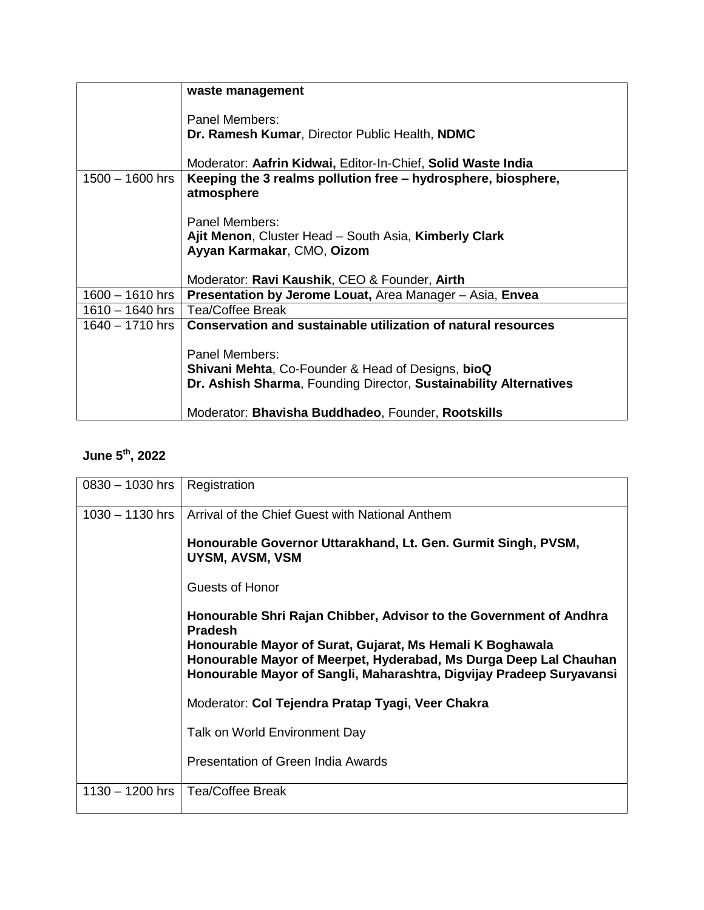|                   | waste management                                                               |
|-------------------|--------------------------------------------------------------------------------|
|                   | Panel Members:<br>Dr. Ramesh Kumar, Director Public Health, NDMC               |
|                   | Moderator: Aafrin Kidwai, Editor-In-Chief, Solid Waste India                   |
| $1500 - 1600$ hrs | Keeping the 3 realms pollution free – hydrosphere, biosphere,<br>atmosphere    |
|                   | Panel Members:                                                                 |
|                   | Ajit Menon, Cluster Head - South Asia, Kimberly Clark                          |
|                   | Ayyan Karmakar, CMO, Oizom                                                     |
|                   | Moderator: Ravi Kaushik, CEO & Founder, Airth                                  |
| $1600 - 1610$ hrs | Presentation by Jerome Louat, Area Manager - Asia, Envea                       |
| $1610 - 1640$ hrs | Tea/Coffee Break                                                               |
| $1640 - 1710$ hrs | Conservation and sustainable utilization of natural resources                  |
|                   | Panel Members:<br><b>Shivani Mehta, Co-Founder &amp; Head of Designs, bioQ</b> |
|                   | Dr. Ashish Sharma, Founding Director, Sustainability Alternatives              |
|                   | Moderator: Bhavisha Buddhadeo, Founder, Rootskills                             |

## **June 5 th, 2022**

| $0830 - 1030$ hrs | Registration                                                                                                                              |
|-------------------|-------------------------------------------------------------------------------------------------------------------------------------------|
| $1030 - 1130$ hrs | Arrival of the Chief Guest with National Anthem                                                                                           |
|                   | Honourable Governor Uttarakhand, Lt. Gen. Gurmit Singh, PVSM,<br>UYSM, AVSM, VSM                                                          |
|                   | Guests of Honor                                                                                                                           |
|                   | Honourable Shri Rajan Chibber, Advisor to the Government of Andhra<br><b>Pradesh</b>                                                      |
|                   | Honourable Mayor of Surat, Gujarat, Ms Hemali K Boghawala                                                                                 |
|                   | Honourable Mayor of Meerpet, Hyderabad, Ms Durga Deep Lal Chauhan<br>Honourable Mayor of Sangli, Maharashtra, Digvijay Pradeep Suryavansi |
|                   | Moderator: Col Tejendra Pratap Tyagi, Veer Chakra                                                                                         |
|                   | Talk on World Environment Day                                                                                                             |
|                   | Presentation of Green India Awards                                                                                                        |
| $1130 - 1200$ hrs | <b>Tea/Coffee Break</b>                                                                                                                   |
|                   |                                                                                                                                           |